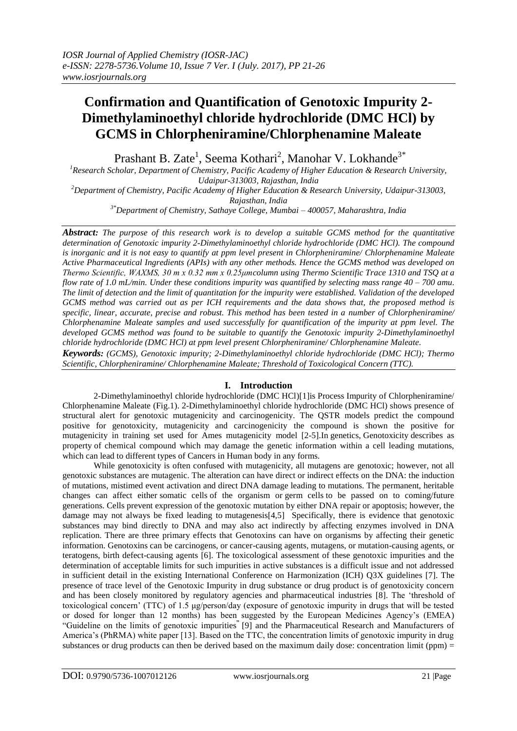# **Confirmation and Quantification of Genotoxic Impurity 2- Dimethylaminoethyl chloride hydrochloride (DMC HCl) by GCMS in Chlorpheniramine/Chlorphenamine Maleate**

Prashant B. Zate<sup>1</sup>, Seema Kothari<sup>2</sup>, Manohar V. Lokhande<sup>3\*</sup>

*<sup>1</sup>Research Scholar, Department of Chemistry, Pacific Academy of Higher Education & Research University, Udaipur-313003, Rajasthan, India*

*<sup>2</sup>Department of Chemistry, Pacific Academy of Higher Education & Research University, Udaipur-313003, Rajasthan, India*

*3\*Department of Chemistry, Sathaye College, Mumbai – 400057, Maharashtra, India*

*Abstract: The purpose of this research work is to develop a suitable GCMS method for the quantitative determination of Genotoxic impurity 2-Dimethylaminoethyl chloride hydrochloride (DMC HCl). The compound is inorganic and it is not easy to quantify at ppm level present in Chlorpheniramine/ Chlorphenamine Maleate Active Pharmaceutical Ingredients (APIs) with any other methods. Hence the GCMS method was developed on Thermo Scientific, WAXMS, 30 m x 0.32 mm x 0.25μmcolumn using Thermo Scientific Trace 1310 and TSQ at a flow rate of 1.0 mL/min. Under these conditions impurity was quantified by selecting mass range 40 – 700 amu. The limit of detection and the limit of quantitation for the impurity were established. Validation of the developed GCMS method was carried out as per ICH requirements and the data shows that, the proposed method is specific, linear, accurate, precise and robust. This method has been tested in a number of Chlorpheniramine/ Chlorphenamine Maleate samples and used successfully for quantification of the impurity at ppm level. The developed GCMS method was found to be suitable to quantify the Genotoxic impurity 2-Dimethylaminoethyl chloride hydrochloride (DMC HCl) at ppm level present Chlorpheniramine/ Chlorphenamine Maleate.* 

*Keywords: (GCMS), Genotoxic impurity; 2-Dimethylaminoethyl chloride hydrochloride (DMC HCl); Thermo Scientific, Chlorpheniramine/ Chlorphenamine Maleate; Threshold of Toxicological Concern (TTC).*

## **I. Introduction**

2-Dimethylaminoethyl chloride hydrochloride (DMC HCl)[1]is Process Impurity of Chlorpheniramine/ Chlorphenamine Maleate (Fig.1). 2-Dimethylaminoethyl chloride hydrochloride (DMC HCl) shows presence of structural alert for genotoxic mutagenicity and carcinogenicity. The QSTR models predict the compound positive for genotoxicity, mutagenicity and carcinogenicity the compound is shown the positive for mutagenicity in training set used for Ames mutagenicity model [2-5].In genetics, Genotoxicity describes as property of chemical compound which may damage the genetic information within a cell leading mutations, which can lead to different types of Cancers in Human body in any forms.

While genotoxicity is often confused with mutagenicity, all mutagens are genotoxic; however, not all genotoxic substances are mutagenic. The alteration can have direct or indirect effects on the DNA: the induction of mutations, mistimed event activation and direct DNA damage leading to mutations. The permanent, heritable changes can affect either somatic cells of the organism or germ cells to be passed on to coming/future generations. Cells prevent expression of the genotoxic mutation by either DNA repair or apoptosis; however, the damage may not always be fixed leading to mutagenesis[4,5] Specifically, there is evidence that genotoxic substances may bind directly to DNA and may also act indirectly by affecting enzymes involved in DNA replication. There are three primary effects that Genotoxins can have on organisms by affecting their genetic information. Genotoxins can be carcinogens, or cancer-causing agents, mutagens, or mutation-causing agents, or teratogens, birth defect-causing agents [6]. The toxicological assessment of these genotoxic impurities and the determination of acceptable limits for such impurities in active substances is a difficult issue and not addressed in sufficient detail in the existing International Conference on Harmonization (ICH) Q3X guidelines [7]. The presence of trace level of the Genotoxic Impurity in drug substance or drug product is of genotoxicity concern and has been closely monitored by regulatory agencies and pharmaceutical industries [8]. The 'threshold of toxicological concern' (TTC) of 1.5 μg/person/day (exposure of genotoxic impurity in drugs that will be tested or dosed for longer than 12 months) has been suggested by the European Medicines Agency's (EMEA) "Guideline on the limits of genotoxic impurities**"** [9] and the Pharmaceutical Research and Manufacturers of America's (PhRMA) white paper [13]. Based on the TTC, the concentration limits of genotoxic impurity in drug substances or drug products can then be derived based on the maximum daily dose: concentration limit (ppm)  $=$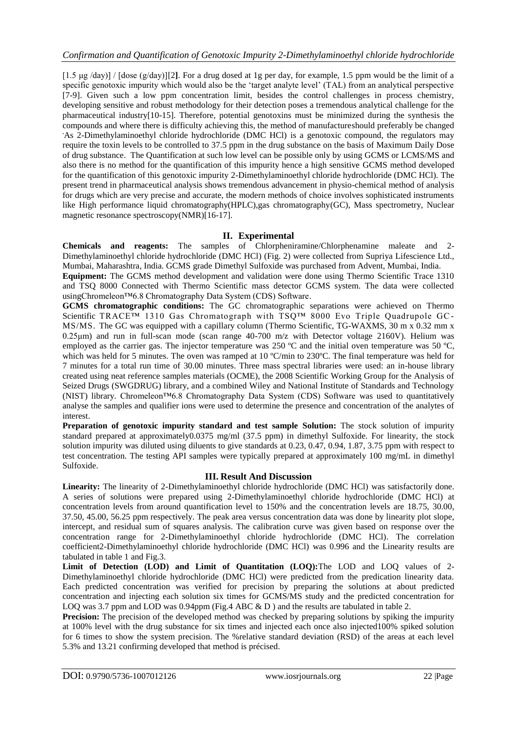[1.5 μg /day)] / [dose (g/day)][2**]**. For a drug dosed at 1g per day, for example, 1.5 ppm would be the limit of a specific genotoxic impurity which would also be the 'target analyte level' (TAL) from an analytical perspective [7-9]. Given such a low ppm concentration limit, besides the control challenges in process chemistry, developing sensitive and robust methodology for their detection poses a tremendous analytical challenge for the pharmaceutical industry[10-15]. Therefore, potential genotoxins must be minimized during the synthesis the compounds and where there is difficulty achieving this, the method of manufactureshould preferably be changed As 2-Dimethylaminoethyl chloride hydrochloride (DMC HCl) is a genotoxic compound, the regulators may require the toxin levels to be controlled to 37.5 ppm in the drug substance on the basis of Maximum Daily Dose of drug substance. The Quantification at such low level can be possible only by using GCMS or LCMS/MS and also there is no method for the quantification of this impurity hence a high sensitive GCMS method developed for the quantification of this genotoxic impurity 2-Dimethylaminoethyl chloride hydrochloride (DMC HCl). The present trend in pharmaceutical analysis shows tremendous advancement in physio-chemical method of analysis for drugs which are very precise and accurate, the modern methods of choice involves sophisticated instruments like High performance liquid chromatography(HPLC),gas chromatography(GC), Mass spectrometry, Nuclear magnetic resonance spectroscopy(NMR)[16-17].

# **II. Experimental**

**Chemicals and reagents:** The samples of Chlorpheniramine/Chlorphenamine maleate and 2- Dimethylaminoethyl chloride hydrochloride (DMC HCl) (Fig. 2) were collected from Supriya Lifescience Ltd., Mumbai, Maharashtra, India. GCMS grade Dimethyl Sulfoxide was purchased from Advent, Mumbai, India.

**Equipment:** The GCMS method development and validation were done using Thermo Scientific Trace 1310 and TSQ 8000 Connected with Thermo Scientific mass detector GCMS system. The data were collected usin[gChromeleon™6.8 Chromatography Data System \(CDS\) Software.](https://www.thermofisher.com/order/catalog/product/CHROMELEON6)

**GCMS chromatographic conditions:** The GC chromatographic separations were achieved on Thermo Scientific TRACE™ 1310 Gas Chromatograph with TSQ™ 8000 Evo Triple Quadrupole GC-MS/MS. The GC was equipped with a capillary column (Thermo Scientific, TG-WAXMS, 30 m x 0.32 mm x 0.25μm) and run in full-scan mode (scan range 40-700 m/z with Detector voltage 2160V). Helium was employed as the carrier gas. The injector temperature was 250 ºC and the initial oven temperature was 50 ºC, which was held for 5 minutes. The oven was ramped at 10 °C/min to 230°C. The final temperature was held for 7 minutes for a total run time of 30.00 minutes. Three mass spectral libraries were used: an in-house library created using neat reference samples materials (OCME), the 2008 Scientific Working Group for the Analysis of Seized Drugs (SWGDRUG) library, and a combined Wiley and National Institute of Standards and Technology (NIST) library. [Chromeleon™6.8 Chromatography Data System \(CDS\) Software](https://www.thermofisher.com/order/catalog/product/CHROMELEON6) was used to quantitatively analyse the samples and qualifier ions were used to determine the presence and concentration of the analytes of interest.

**Preparation of genotoxic impurity standard and test sample Solution:** The stock solution of impurity standard prepared at approximately0.0375 mg/ml (37.5 ppm) in dimethyl Sulfoxide. For linearity, the stock solution impurity was diluted using diluents to give standards at 0.23, 0.47, 0.94, 1.87, 3.75 ppm with respect to test concentration. The testing API samples were typically prepared at approximately 100 mg/mL in dimethyl Sulfoxide.

## **III. Result And Discussion**

**Linearity:** The linearity of 2-Dimethylaminoethyl chloride hydrochloride (DMC HCl) was satisfactorily done. A series of solutions were prepared using 2-Dimethylaminoethyl chloride hydrochloride (DMC HCl) at concentration levels from around quantification level to 150% and the concentration levels are 18.75, 30.00, 37.50, 45.00, 56.25 ppm respectively. The peak area versus concentration data was done by linearity plot slope, intercept, and residual sum of squares analysis. The calibration curve was given based on response over the concentration range for 2-Dimethylaminoethyl chloride hydrochloride (DMC HCl). The correlation coefficient2-Dimethylaminoethyl chloride hydrochloride (DMC HCl) was 0.996 and the Linearity results are tabulated in table 1 and Fig.3.

**Limit of Detection (LOD) and Limit of Quantitation (LOQ):**The LOD and LOQ values of 2- Dimethylaminoethyl chloride hydrochloride (DMC HCl) were predicted from the predication linearity data. Each predicted concentration was verified for precision by preparing the solutions at about predicted concentration and injecting each solution six times for GCMS/MS study and the predicted concentration for LOO was 3.7 ppm and LOD was 0.94ppm (Fig.4 ABC & D) and the results are tabulated in table 2.

**Precision:** The precision of the developed method was checked by preparing solutions by spiking the impurity at 100% level with the drug substance for six times and injected each once also injected100% spiked solution for 6 times to show the system precision. The %relative standard deviation (RSD) of the areas at each level 5.3% and 13.21 confirming developed that method is précised.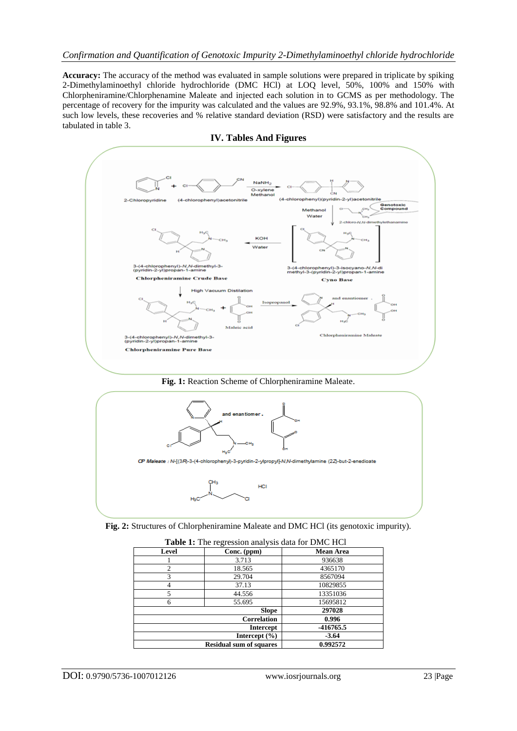**Accuracy:** The accuracy of the method was evaluated in sample solutions were prepared in triplicate by spiking 2-Dimethylaminoethyl chloride hydrochloride (DMC HCl) at LOQ level, 50%, 100% and 150% with Chlorpheniramine/Chlorphenamine Maleate and injected each solution in to GCMS as per methodology. The percentage of recovery for the impurity was calculated and the values are 92.9%, 93.1%, 98.8% and 101.4%. At such low levels, these recoveries and % relative standard deviation (RSD) were satisfactory and the results are tabulated in table 3.



**IV. Tables And Figures**

## **Fig. 1:** Reaction Scheme of Chlorpheniramine Maleate.



**Fig. 2:** Structures of Chlorpheniramine Maleate and DMC HCl (its genotoxic impurity).

| <b>Table 1:</b> The regression analysis data for DMC HCT |             |                  |  |  |  |  |
|----------------------------------------------------------|-------------|------------------|--|--|--|--|
| Level                                                    | Conc. (ppm) | <b>Mean Area</b> |  |  |  |  |
|                                                          | 3.713       | 936638           |  |  |  |  |
|                                                          | 18.565      | 4365170          |  |  |  |  |
| 3                                                        | 29.704      | 8567094          |  |  |  |  |
|                                                          | 37.13       | 10829855         |  |  |  |  |
|                                                          | 44.556      | 13351036         |  |  |  |  |
| 6                                                        | 55.695      | 15695812         |  |  |  |  |
| <b>Slope</b>                                             |             | 297028           |  |  |  |  |
| <b>Correlation</b>                                       |             | 0.996            |  |  |  |  |
| <b>Intercept</b>                                         |             | -416765.5        |  |  |  |  |
| Intercept $(\% )$                                        |             | $-3.64$          |  |  |  |  |
| <b>Residual sum of squares</b>                           |             | 0.992572         |  |  |  |  |

**Table 1:** The regression analysis data for DMC HCl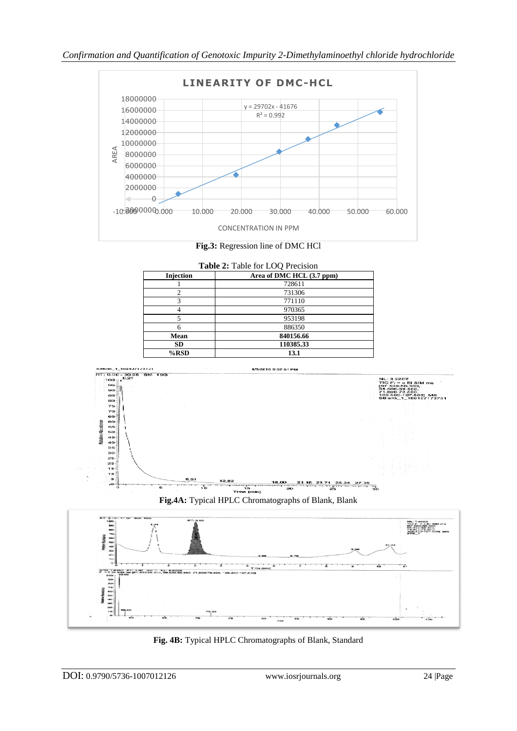



| Table 2: Table for LOQ Precision |                           |  |  |  |  |
|----------------------------------|---------------------------|--|--|--|--|
| <b>Injection</b>                 | Area of DMC HCL (3.7 ppm) |  |  |  |  |
|                                  | 728611                    |  |  |  |  |
|                                  | 731306                    |  |  |  |  |
|                                  | 771110                    |  |  |  |  |
|                                  | 970365                    |  |  |  |  |
|                                  | 953198                    |  |  |  |  |
| 6                                | 886350                    |  |  |  |  |
| Mean                             | 840156.66                 |  |  |  |  |
| SD.                              | 110385.33                 |  |  |  |  |
| %RSD                             | 13.1                      |  |  |  |  |



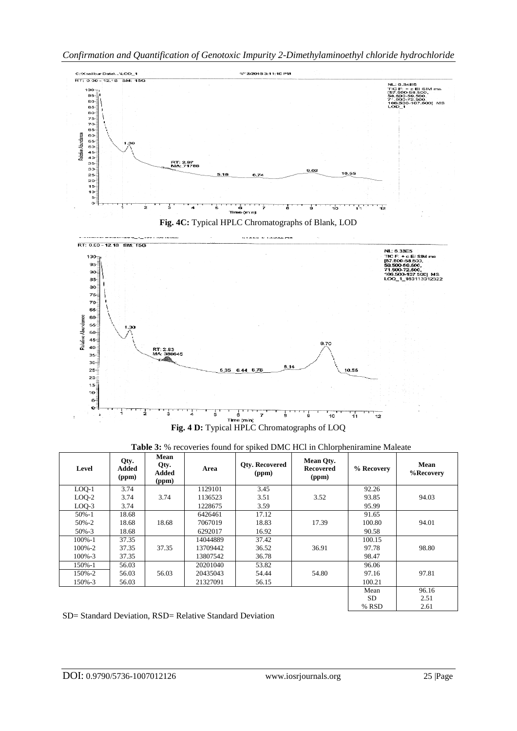

| <b>Table 3:</b> % recoveries found for spiked DMC HCl in Chlorpheniramine Maleate |  |  |
|-----------------------------------------------------------------------------------|--|--|
|                                                                                   |  |  |

| Level       | Qty.<br>Added<br>(ppm) | Mean<br>Qty.<br>Added<br>(ppm) | Area     | Otv. Recovered<br>(ppm) | <b>Mean Qty.</b><br><b>Recovered</b><br>(ppm) | % Recovery | Mean<br>%Recovery |
|-------------|------------------------|--------------------------------|----------|-------------------------|-----------------------------------------------|------------|-------------------|
| $LOQ-1$     | 3.74                   |                                | 1129101  | 3.45                    |                                               | 92.26      |                   |
| $LOO-2$     | 3.74                   | 3.74                           | 1136523  | 3.51                    | 3.52                                          | 93.85      | 94.03             |
| $LOO-3$     | 3.74                   |                                | 1228675  | 3.59                    |                                               | 95.99      |                   |
| $50\% - 1$  | 18.68                  |                                | 6426461  | 17.12                   |                                               | 91.65      |                   |
| $50\% - 2$  | 18.68                  | 18.68                          | 7067019  | 18.83                   | 17.39                                         | 100.80     | 94.01             |
| $50\% - 3$  | 18.68                  |                                | 6292017  | 16.92                   |                                               | 90.58      |                   |
| $100\% - 1$ | 37.35                  |                                | 14044889 | 37.42                   |                                               | 100.15     |                   |
| $100\% - 2$ | 37.35                  | 37.35                          | 13709442 | 36.52                   | 36.91                                         | 97.78      | 98.80             |
| $100\% - 3$ | 37.35                  |                                | 13807542 | 36.78                   |                                               | 98.47      |                   |
| 150%-1      | 56.03                  |                                | 20201040 | 53.82                   |                                               | 96.06      |                   |
| 150%-2      | 56.03                  | 56.03                          | 20435043 | 54.44                   | 54.80                                         | 97.16      | 97.81             |
| 150%-3      | 56.03                  |                                | 21327091 | 56.15                   |                                               | 100.21     |                   |
|             |                        |                                |          |                         |                                               | Mean       | 96.16             |
|             |                        |                                |          |                         |                                               | <b>SD</b>  | 2.51              |
|             |                        |                                |          |                         |                                               | % RSD      | 2.61              |

## SD= Standard Deviation, RSD= Relative Standard Deviation